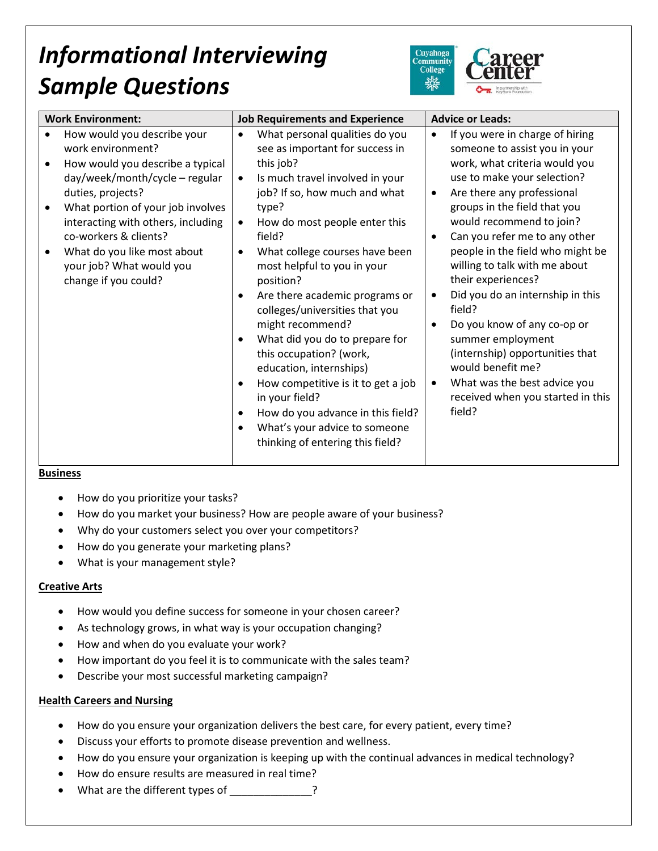# *Informational Interviewing Sample Questions*



| <b>Work Environment:</b>                                                                                                                                                                                                                                                                                                           | <b>Job Requirements and Experience</b>                                                                                                                                                                                                                                                                                                                                                                                                                                                                                                                                                                                                                                                                 | <b>Advice or Leads:</b>                                                                                                                                                                                                                                                                                                                                                                                                                                                                                                                                                                                                        |
|------------------------------------------------------------------------------------------------------------------------------------------------------------------------------------------------------------------------------------------------------------------------------------------------------------------------------------|--------------------------------------------------------------------------------------------------------------------------------------------------------------------------------------------------------------------------------------------------------------------------------------------------------------------------------------------------------------------------------------------------------------------------------------------------------------------------------------------------------------------------------------------------------------------------------------------------------------------------------------------------------------------------------------------------------|--------------------------------------------------------------------------------------------------------------------------------------------------------------------------------------------------------------------------------------------------------------------------------------------------------------------------------------------------------------------------------------------------------------------------------------------------------------------------------------------------------------------------------------------------------------------------------------------------------------------------------|
| How would you describe your<br>work environment?<br>How would you describe a typical<br>day/week/month/cycle - regular<br>duties, projects?<br>What portion of your job involves<br>interacting with others, including<br>co-workers & clients?<br>What do you like most about<br>your job? What would you<br>change if you could? | What personal qualities do you<br>٠<br>see as important for success in<br>this job?<br>Is much travel involved in your<br>$\bullet$<br>job? If so, how much and what<br>type?<br>How do most people enter this<br>$\bullet$<br>field?<br>What college courses have been<br>٠<br>most helpful to you in your<br>position?<br>Are there academic programs or<br>٠<br>colleges/universities that you<br>might recommend?<br>What did you do to prepare for<br>this occupation? (work,<br>education, internships)<br>How competitive is it to get a job<br>٠<br>in your field?<br>How do you advance in this field?<br>٠<br>What's your advice to someone<br>$\bullet$<br>thinking of entering this field? | If you were in charge of hiring<br>$\bullet$<br>someone to assist you in your<br>work, what criteria would you<br>use to make your selection?<br>Are there any professional<br>$\bullet$<br>groups in the field that you<br>would recommend to join?<br>Can you refer me to any other<br>people in the field who might be<br>willing to talk with me about<br>their experiences?<br>Did you do an internship in this<br>field?<br>Do you know of any co-op or<br>summer employment<br>(internship) opportunities that<br>would benefit me?<br>What was the best advice you<br>٠<br>received when you started in this<br>field? |
|                                                                                                                                                                                                                                                                                                                                    |                                                                                                                                                                                                                                                                                                                                                                                                                                                                                                                                                                                                                                                                                                        |                                                                                                                                                                                                                                                                                                                                                                                                                                                                                                                                                                                                                                |

### **Business**

- How do you prioritize your tasks?
- How do you market your business? How are people aware of your business?
- Why do your customers select you over your competitors?
- How do you generate your marketing plans?
- What is your management style?

### **Creative Arts**

- How would you define success for someone in your chosen career?
- As technology grows, in what way is your occupation changing?
- How and when do you evaluate your work?
- How important do you feel it is to communicate with the sales team?
- Describe your most successful marketing campaign?

### **Health Careers and Nursing**

- How do you ensure your organization delivers the best care, for every patient, every time?
- Discuss your efforts to promote disease prevention and wellness.
- How do you ensure your organization is keeping up with the continual advances in medical technology?
- How do ensure results are measured in real time?
- What are the different types of \_\_\_\_\_\_\_\_\_\_\_\_\_?